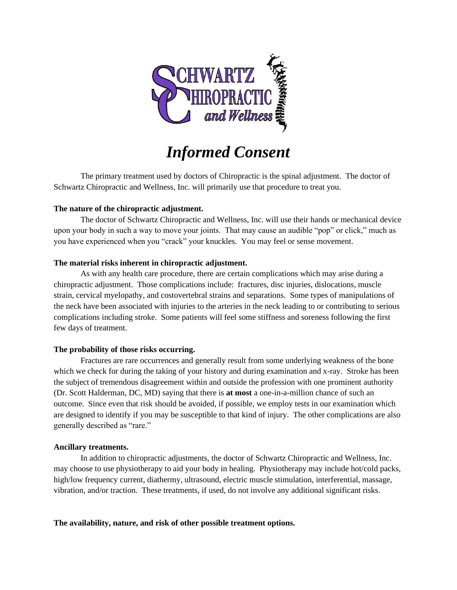

# *Informed Consent*

The primary treatment used by doctors of Chiropractic is the spinal adjustment. The doctor of Schwartz Chiropractic and Wellness, Inc. will primarily use that procedure to treat you.

## **The nature of the chiropractic adjustment.**

The doctor of Schwartz Chiropractic and Wellness, Inc. will use their hands or mechanical device upon your body in such a way to move your joints. That may cause an audible "pop" or click," much as you have experienced when you "crack" your knuckles. You may feel or sense movement.

## **The material risks inherent in chiropractic adjustment.**

As with any health care procedure, there are certain complications which may arise during a chiropractic adjustment. Those complications include: fractures, disc injuries, dislocations, muscle strain, cervical myelopathy, and costovertebral strains and separations. Some types of manipulations of the neck have been associated with injuries to the arteries in the neck leading to or contributing to serious complications including stroke. Some patients will feel some stiffness and soreness following the first few days of treatment.

## **The probability of those risks occurring.**

Fractures are rare occurrences and generally result from some underlying weakness of the bone which we check for during the taking of your history and during examination and x-ray. Stroke has been the subject of tremendous disagreement within and outside the profession with one prominent authority (Dr. Scott Halderman, DC, MD) saying that there is **at most** a one-in-a-million chance of such an outcome. Since even that risk should be avoided, if possible, we employ tests in our examination which are designed to identify if you may be susceptible to that kind of injury. The other complications are also generally described as "rare."

## **Ancillary treatments.**

In addition to chiropractic adjustments, the doctor of Schwartz Chiropractic and Wellness, Inc. may choose to use physiotherapy to aid your body in healing. Physiotherapy may include hot/cold packs, high/low frequency current, diathermy, ultrasound, electric muscle stimulation, interferential, massage, vibration, and/or traction. These treatments, if used, do not involve any additional significant risks.

## **The availability, nature, and risk of other possible treatment options.**